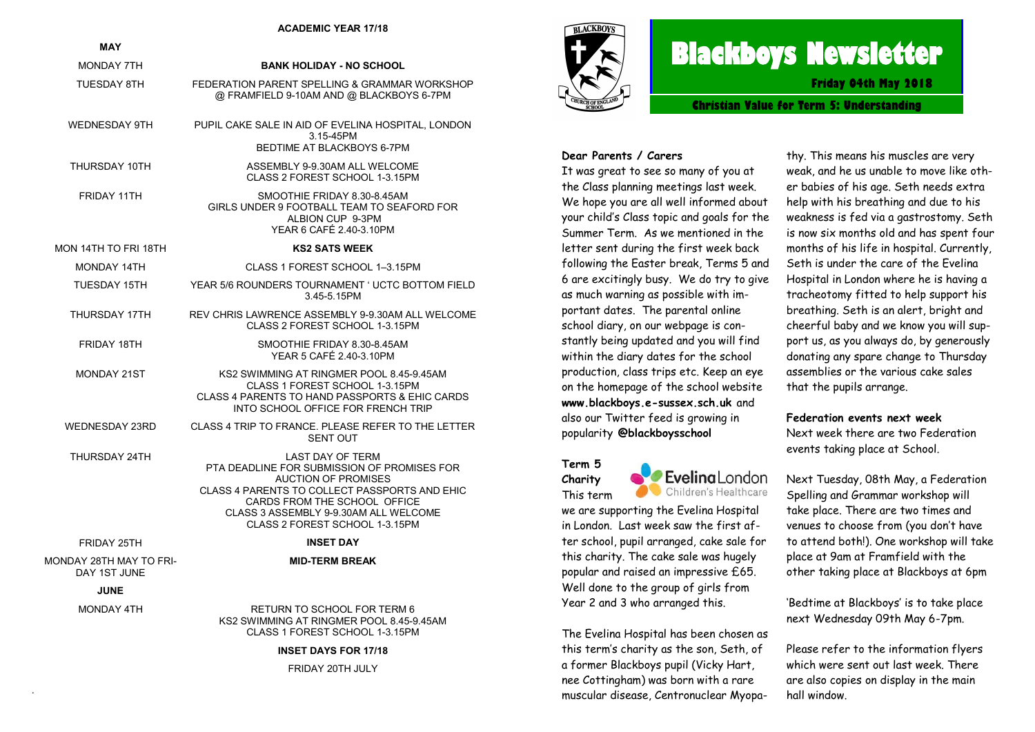#### **ACADEMIC YEAR 17/18**

| <b>MAY</b>                              |                                                                                                                                                                                                                                                                  |
|-----------------------------------------|------------------------------------------------------------------------------------------------------------------------------------------------------------------------------------------------------------------------------------------------------------------|
| <b>MONDAY 7TH</b>                       | <b>BANK HOLIDAY - NO SCHOOL</b>                                                                                                                                                                                                                                  |
| TUESDAY 8TH                             | FEDERATION PARENT SPELLING & GRAMMAR WORKSHOP<br>@ FRAMFIELD 9-10AM AND @ BLACKBOYS 6-7PM                                                                                                                                                                        |
| <b>WEDNESDAY 9TH</b>                    | PUPIL CAKE SALE IN AID OF EVELINA HOSPITAL, LONDON<br>3.15-45PM<br>BEDTIME AT BLACKBOYS 6-7PM                                                                                                                                                                    |
| THURSDAY 10TH                           | ASSEMBLY 9-9.30AM ALL WELCOME<br>CLASS 2 FOREST SCHOOL 1-3.15PM                                                                                                                                                                                                  |
| FRIDAY 11TH                             | SMOOTHIE FRIDAY 8.30-8.45AM<br>GIRLS UNDER 9 FOOTBALL TEAM TO SEAFORD FOR<br>ALBION CUP 9-3PM<br>YEAR 6 CAFÉ 2.40-3.10PM                                                                                                                                         |
| MON 14TH TO FRI 18TH                    | <b>KS2 SATS WEEK</b>                                                                                                                                                                                                                                             |
| MONDAY 14TH                             | CLASS 1 FOREST SCHOOL 1-3.15PM                                                                                                                                                                                                                                   |
| <b>TUESDAY 15TH</b>                     | YEAR 5/6 ROUNDERS TOURNAMENT ' UCTC BOTTOM FIELD<br>3.45-5.15PM                                                                                                                                                                                                  |
| THURSDAY 17TH                           | REV CHRIS LAWRENCE ASSEMBLY 9-9.30AM ALL WELCOME<br>CLASS 2 FOREST SCHOOL 1-3.15PM                                                                                                                                                                               |
| FRIDAY 18TH                             | SMOOTHIE FRIDAY 8.30-8.45AM<br>YEAR 5 CAFÉ 2.40-3.10PM                                                                                                                                                                                                           |
| MONDAY 21ST                             | KS2 SWIMMING AT RINGMER POOL 8.45-9.45AM<br>CLASS 1 FOREST SCHOOL 1-3.15PM<br>CLASS 4 PARENTS TO HAND PASSPORTS & EHIC CARDS<br>INTO SCHOOL OFFICE FOR FRENCH TRIP                                                                                               |
| <b>WEDNESDAY 23RD</b>                   | CLASS 4 TRIP TO FRANCE. PLEASE REFER TO THE LETTER<br><b>SENT OUT</b>                                                                                                                                                                                            |
| THURSDAY 24TH                           | <b>LAST DAY OF TERM</b><br>PTA DEADLINE FOR SUBMISSION OF PROMISES FOR<br><b>AUCTION OF PROMISES</b><br>CLASS 4 PARENTS TO COLLECT PASSPORTS AND EHIC<br>CARDS FROM THE SCHOOL OFFICE<br>CLASS 3 ASSEMBLY 9-9.30AM ALL WELCOME<br>CLASS 2 FOREST SCHOOL 1-3.15PM |
| FRIDAY 25TH                             | <b>INSET DAY</b>                                                                                                                                                                                                                                                 |
| MONDAY 28TH MAY TO FRI-<br>DAY 1ST JUNE | <b>MID-TERM BREAK</b>                                                                                                                                                                                                                                            |
| <b>JUNE</b>                             |                                                                                                                                                                                                                                                                  |
| <b>MONDAY 4TH</b>                       | RETURN TO SCHOOL FOR TERM 6<br>KS2 SWIMMING AT RINGMER POOL 8.45-9.45AM<br>CLASS 1 FOREST SCHOOL 1-3.15PM                                                                                                                                                        |

#### **INSET DAYS FOR 17/18**

FRIDAY 20TH JULY

.



# **Blackboys Newsletter**

**Friday 04th May 2018**

**Christian Value for Term 5: Understanding** 

#### **Dear Parents / Carers**

It was great to see so many of you at the Class planning meetings last week. We hope you are all well informed about your child's Class topic and goals for the Summer Term. As we mentioned in the letter sent during the first week back following the Easter break, Terms 5 and 6 are excitingly busy. We do try to give as much warning as possible with important dates. The parental online school diary, on our webpage is constantly being updated and you will find within the diary dates for the school production, class trips etc. Keep an eye on the homepage of the school website **www.blackboys.e-sussex.sch.uk** and also our Twitter feed is growing in popularity **@blackboysschool**

**Term 5**  EvelingLondon **Charity**  Children's Healthcare This term we are supporting the Evelina Hospital in London. Last week saw the first after school, pupil arranged, cake sale for this charity. The cake sale was hugely popular and raised an impressive £65. Well done to the group of girls from Year 2 and 3 who arranged this.

The Evelina Hospital has been chosen as this term's charity as the son, Seth, of a former Blackboys pupil (Vicky Hart, nee Cottingham) was born with a rare muscular disease, Centronuclear Myopa-

thy. This means his muscles are very weak, and he us unable to move like other babies of his age. Seth needs extra help with his breathing and due to his weakness is fed via a gastrostomy. Seth is now six months old and has spent four months of his life in hospital. Currently, Seth is under the care of the Evelina Hospital in London where he is having a tracheotomy fitted to help support his breathing. Seth is an alert, bright and cheerful baby and we know you will support us, as you always do, by generously donating any spare change to Thursday assemblies or the various cake sales that the pupils arrange.

#### **Federation events next week**

Next week there are two Federation events taking place at School.

Next Tuesday, 08th May, a Federation Spelling and Grammar workshop will take place. There are two times and venues to choose from (you don't have to attend both!). One workshop will take place at 9am at Framfield with the other taking place at Blackboys at 6pm

'Bedtime at Blackboys' is to take place next Wednesday 09th May 6-7pm.

Please refer to the information flyers which were sent out last week. There are also copies on display in the main hall window.